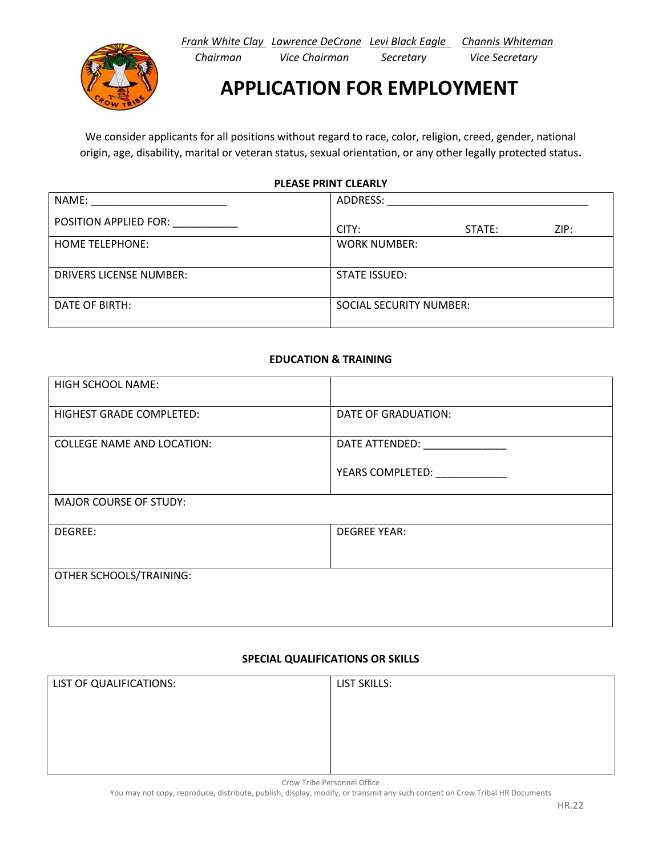*Frank White Clay Lawrence DeCrane Levi Black Eagle Channis Whiteman Chairman Vice Chairman Secretary Vice Secretary*



**APPLICATION FOR EMPLOYMENT**

We consider applicants for all positions without regard to race, color, religion, creed, gender, national origin, age, disability, marital or veteran status, sexual orientation, or any other legally protected status**.**

**PLEASE PRINT CLEARLY**

| NAME:                          | ADDRESS:                       |  |
|--------------------------------|--------------------------------|--|
| POSITION APPLIED FOR:          | ZIP:<br>CITY:<br>STATE:        |  |
| <b>HOME TELEPHONE:</b>         | <b>WORK NUMBER:</b>            |  |
| <b>DRIVERS LICENSE NUMBER:</b> | STATE ISSUED:                  |  |
| DATE OF BIRTH:                 | <b>SOCIAL SECURITY NUMBER:</b> |  |

## **EDUCATION & TRAINING**

| <b>HIGH SCHOOL NAME:</b>          |                      |  |
|-----------------------------------|----------------------|--|
| <b>HIGHEST GRADE COMPLETED:</b>   | DATE OF GRADUATION:  |  |
| <b>COLLEGE NAME AND LOCATION:</b> | DATE ATTENDED:       |  |
|                                   | YEARS COMPLETED: NET |  |
| <b>MAJOR COURSE OF STUDY:</b>     |                      |  |
| DEGREE:                           | <b>DEGREE YEAR:</b>  |  |
|                                   |                      |  |
| OTHER SCHOOLS/TRAINING:           |                      |  |
|                                   |                      |  |
|                                   |                      |  |

## **SPECIAL QUALIFICATIONS OR SKILLS**

| LIST OF QUALIFICATIONS: | LIST SKILLS: |
|-------------------------|--------------|
|                         |              |
|                         |              |
|                         |              |
|                         |              |

Crow Tribe Personnel Office

You may not copy, reproduce, distribute, publish, display, modify, or transmit any such content on Crow Tribal HR Documents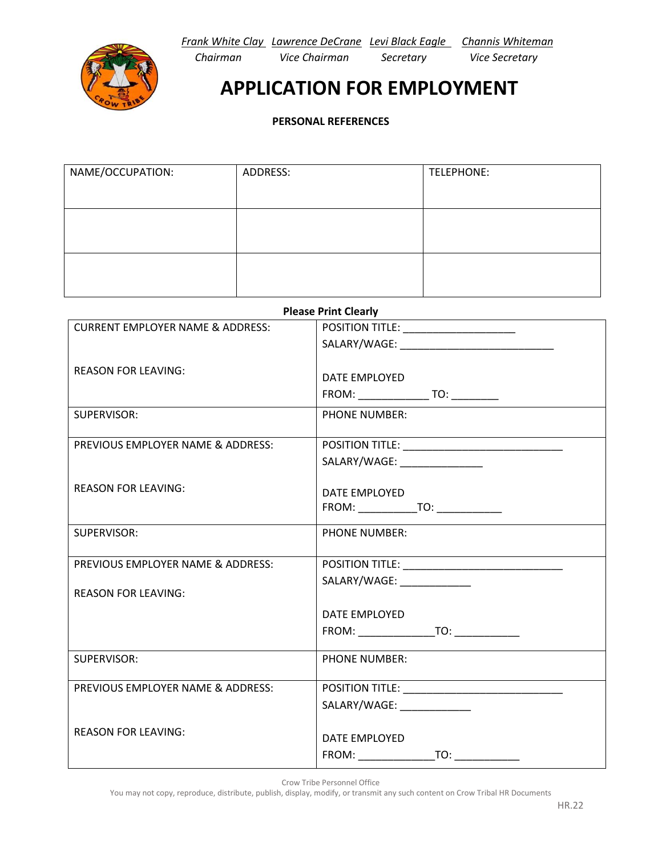*Frank White Clay Lawrence DeCrane Levi Black Eagle Channis Whiteman*



 *Chairman Vice Chairman Secretary Vice Secretary*

## **APPLICATION FOR EMPLOYMENT**

**PERSONAL REFERENCES**

| NAME/OCCUPATION: | ADDRESS: | TELEPHONE: |
|------------------|----------|------------|
|                  |          |            |
|                  |          |            |
|                  |          |            |
|                  |          |            |
|                  |          |            |

| <b>Please Print Clearly</b>                 |                                                                                                                       |  |
|---------------------------------------------|-----------------------------------------------------------------------------------------------------------------------|--|
| <b>CURRENT EMPLOYER NAME &amp; ADDRESS:</b> | POSITION TITLE: _____________________                                                                                 |  |
|                                             | SALARY/WAGE: ___________________________________                                                                      |  |
|                                             |                                                                                                                       |  |
| <b>REASON FOR LEAVING:</b>                  | DATE EMPLOYED                                                                                                         |  |
|                                             |                                                                                                                       |  |
| SUPERVISOR:                                 | <b>PHONE NUMBER:</b>                                                                                                  |  |
|                                             |                                                                                                                       |  |
| PREVIOUS EMPLOYER NAME & ADDRESS:           |                                                                                                                       |  |
|                                             | SALARY/WAGE: ________________                                                                                         |  |
| <b>REASON FOR LEAVING:</b>                  |                                                                                                                       |  |
|                                             | DATE EMPLOYED                                                                                                         |  |
|                                             |                                                                                                                       |  |
| SUPERVISOR:                                 | <b>PHONE NUMBER:</b>                                                                                                  |  |
|                                             |                                                                                                                       |  |
| PREVIOUS EMPLOYER NAME & ADDRESS:           |                                                                                                                       |  |
|                                             | SALARY/WAGE: ______________                                                                                           |  |
| <b>REASON FOR LEAVING:</b>                  |                                                                                                                       |  |
|                                             | DATE EMPLOYED                                                                                                         |  |
|                                             | FROM: TO:                                                                                                             |  |
| SUPERVISOR:                                 | <b>PHONE NUMBER:</b>                                                                                                  |  |
|                                             |                                                                                                                       |  |
| PREVIOUS EMPLOYER NAME & ADDRESS:           | <u> 1980 - Johann Stoff, deutscher Stoff, der Stoff, der Stoff, der Stoff, der Stoff, der Stoff, der Stoff, der S</u> |  |
|                                             | SALARY/WAGE: _____________                                                                                            |  |
|                                             |                                                                                                                       |  |
| <b>REASON FOR LEAVING:</b>                  | DATE EMPLOYED                                                                                                         |  |
|                                             |                                                                                                                       |  |

Crow Tribe Personnel Office

You may not copy, reproduce, distribute, publish, display, modify, or transmit any such content on Crow Tribal HR Documents